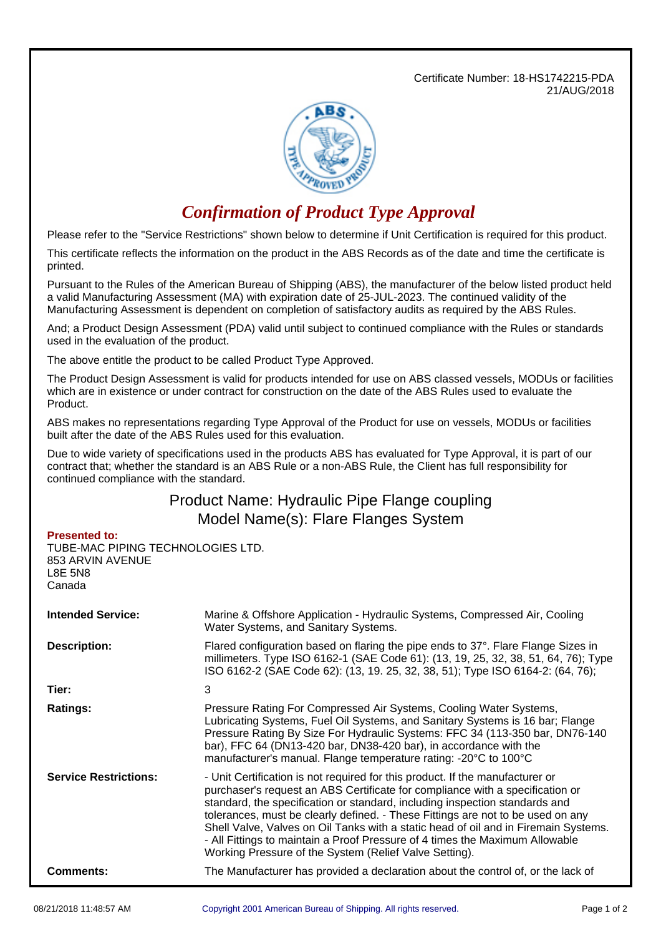Certificate Number: 18-HS1742215-PDA 21/AUG/2018



## *Confirmation of Product Type Approval*

Please refer to the "Service Restrictions" shown below to determine if Unit Certification is required for this product.

This certificate reflects the information on the product in the ABS Records as of the date and time the certificate is printed.

Pursuant to the Rules of the American Bureau of Shipping (ABS), the manufacturer of the below listed product held a valid Manufacturing Assessment (MA) with expiration date of 25-JUL-2023. The continued validity of the Manufacturing Assessment is dependent on completion of satisfactory audits as required by the ABS Rules.

And; a Product Design Assessment (PDA) valid until subject to continued compliance with the Rules or standards used in the evaluation of the product.

The above entitle the product to be called Product Type Approved.

The Product Design Assessment is valid for products intended for use on ABS classed vessels, MODUs or facilities which are in existence or under contract for construction on the date of the ABS Rules used to evaluate the Product.

ABS makes no representations regarding Type Approval of the Product for use on vessels, MODUs or facilities built after the date of the ABS Rules used for this evaluation.

Due to wide variety of specifications used in the products ABS has evaluated for Type Approval, it is part of our contract that; whether the standard is an ABS Rule or a non-ABS Rule, the Client has full responsibility for continued compliance with the standard.

## Product Name: Hydraulic Pipe Flange coupling Model Name(s): Flare Flanges System

## **Presented to:**

TUBE-MAC PIPING TECHNOLOGIES LTD. 853 ARVIN AVENUE L8E 5N8 Canada

| <b>Intended Service:</b>     | Marine & Offshore Application - Hydraulic Systems, Compressed Air, Cooling<br>Water Systems, and Sanitary Systems.                                                                                                                                                                                                                                                                                                                                                                                                                                                |  |  |
|------------------------------|-------------------------------------------------------------------------------------------------------------------------------------------------------------------------------------------------------------------------------------------------------------------------------------------------------------------------------------------------------------------------------------------------------------------------------------------------------------------------------------------------------------------------------------------------------------------|--|--|
| <b>Description:</b>          | Flared configuration based on flaring the pipe ends to 37°. Flare Flange Sizes in<br>millimeters. Type ISO 6162-1 (SAE Code 61): (13, 19, 25, 32, 38, 51, 64, 76); Type<br>ISO 6162-2 (SAE Code 62): (13, 19. 25, 32, 38, 51); Type ISO 6164-2: (64, 76);                                                                                                                                                                                                                                                                                                         |  |  |
| Tier:                        | 3                                                                                                                                                                                                                                                                                                                                                                                                                                                                                                                                                                 |  |  |
| <b>Ratings:</b>              | Pressure Rating For Compressed Air Systems, Cooling Water Systems,<br>Lubricating Systems, Fuel Oil Systems, and Sanitary Systems is 16 bar; Flange<br>Pressure Rating By Size For Hydraulic Systems: FFC 34 (113-350 bar, DN76-140<br>bar), FFC 64 (DN13-420 bar, DN38-420 bar), in accordance with the<br>manufacturer's manual. Flange temperature rating: -20°C to 100°C                                                                                                                                                                                      |  |  |
| <b>Service Restrictions:</b> | - Unit Certification is not required for this product. If the manufacturer or<br>purchaser's request an ABS Certificate for compliance with a specification or<br>standard, the specification or standard, including inspection standards and<br>tolerances, must be clearly defined. - These Fittings are not to be used on any<br>Shell Valve, Valves on Oil Tanks with a static head of oil and in Firemain Systems.<br>- All Fittings to maintain a Proof Pressure of 4 times the Maximum Allowable<br>Working Pressure of the System (Relief Valve Setting). |  |  |
| <b>Comments:</b>             | The Manufacturer has provided a declaration about the control of, or the lack of                                                                                                                                                                                                                                                                                                                                                                                                                                                                                  |  |  |